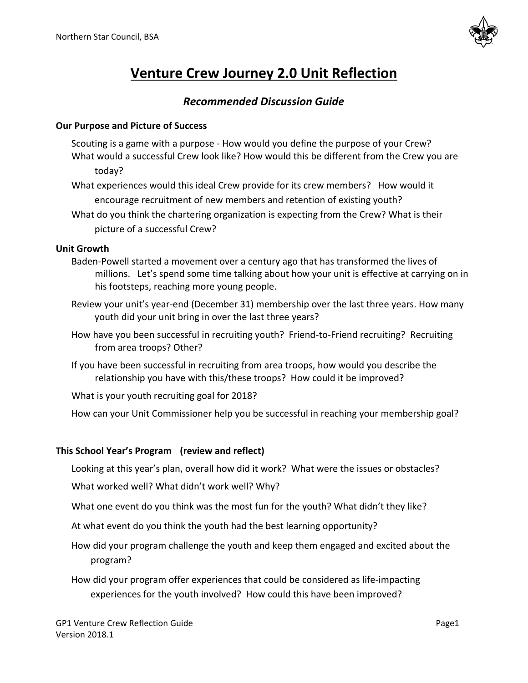

# **Venture Crew Journey 2.0 Unit Reflection**

## *Recommended Discussion Guide*

#### **Our Purpose and Picture of Success**

- Scouting is a game with a purpose How would you define the purpose of your Crew? What would a successful Crew look like? How would this be different from the Crew you are today?
- What experiences would this ideal Crew provide for its crew members? How would it encourage recruitment of new members and retention of existing youth?
- What do you think the chartering organization is expecting from the Crew? What is their picture of a successful Crew?

#### **Unit Growth**

- Baden-Powell started a movement over a century ago that has transformed the lives of millions. Let's spend some time talking about how your unit is effective at carrying on in his footsteps, reaching more young people.
- Review your unit's year-end (December 31) membership over the last three years. How many youth did your unit bring in over the last three years?
- How have you been successful in recruiting youth? Friend-to-Friend recruiting? Recruiting from area troops? Other?
- If you have been successful in recruiting from area troops, how would you describe the relationship you have with this/these troops? How could it be improved?

What is your youth recruiting goal for 2018?

How can your Unit Commissioner help you be successful in reaching your membership goal?

#### **This School Year's Program (review and reflect)**

Looking at this year's plan, overall how did it work? What were the issues or obstacles?

What worked well? What didn't work well? Why?

What one event do you think was the most fun for the youth? What didn't they like?

At what event do you think the youth had the best learning opportunity?

How did your program challenge the youth and keep them engaged and excited about the program?

How did your program offer experiences that could be considered as life-impacting experiences for the youth involved? How could this have been improved?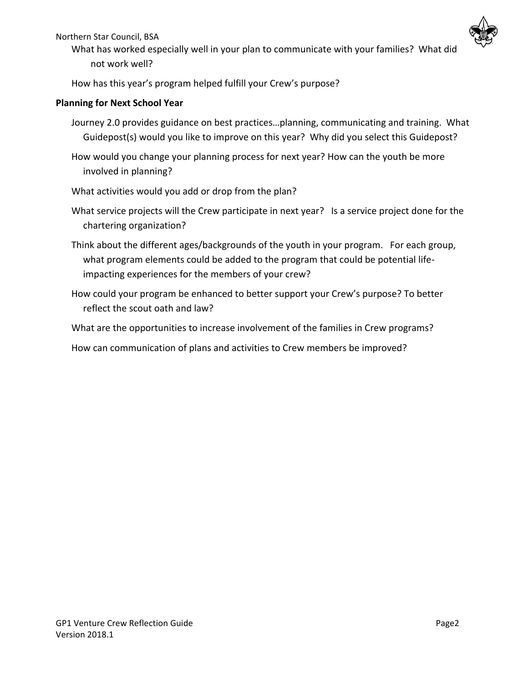Northern Star Council, BSA



What has worked especially well in your plan to communicate with your families? What did not work well?

How has this year's program helped fulfill your Crew's purpose?

## **Planning for Next School Year**

- Journey 2.0 provides guidance on best practices…planning, communicating and training. What Guidepost(s) would you like to improve on this year? Why did you select this Guidepost?
- How would you change your planning process for next year? How can the youth be more involved in planning?
- What activities would you add or drop from the plan?
- What service projects will the Crew participate in next year? Is a service project done for the chartering organization?
- Think about the different ages/backgrounds of the youth in your program. For each group, what program elements could be added to the program that could be potential lifeimpacting experiences for the members of your crew?
- How could your program be enhanced to better support your Crew's purpose? To better reflect the scout oath and law?
- What are the opportunities to increase involvement of the families in Crew programs?
- How can communication of plans and activities to Crew members be improved?